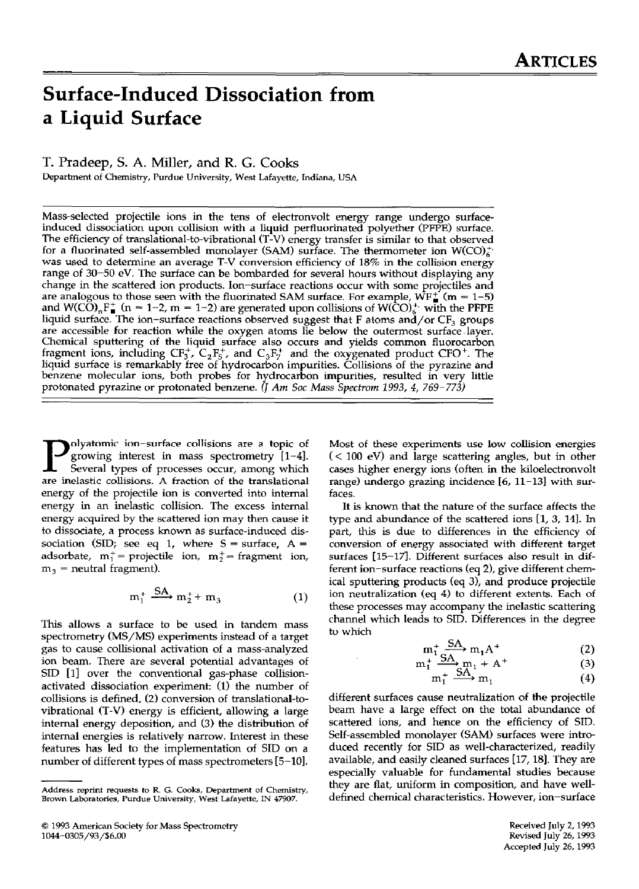# **Surface-Induced Dissociation from a Liquid Surface**

T. Pradeep, S. A. Miller, and R. G. Cooks

Department of Chemistry, Purdue University, West Lafayette, Indiana, USA

Mass-selected projectile ions in the tens of electronvolt energy range undergo surfaceinduced dissociation upon collision with a liquid perfluorinated polyether (PFPE) surface. The efficiency of translational-to-vibrational (T-V) energy transfer is similar to that observed for a fluorinated self-assembled monolayer (SAM) surface. The thermometer ion  $W(CO)<sub>c</sub><sup>+</sup>$ was used to determine an average T-V conversion efficiency of 18% in the collision energy range of 30-50 eV. The surface can be bombarded for several hours without displaying any change in the scattered ion products. Ion-surface reactions occur with some projectiles and are analogous to those seen with the fluorinated SAM surface. For example,  $\hat{WF}_{\blacksquare}^+$  (m = 1-5) and W(CO)<sub>n</sub>F<sup>\*</sup> (n = 1-2, m = 1-2) are generated upon collisions of W(CO)<sup>+</sup> with the PFPE liquid surface. The ion-surface reactions observed suggest that F atoms and/or CF<sub>3</sub> groups are accessible for reaction while the oxygen atoms lie below the outermost surface layer. Chemical sputtering of the liquid surface also occurs and yields common fluorocarbon fragment ions, including  $CF_3^+$ ,  $C_2F_5^+$ , and  $C_3F_7^+$  and the oxygenated product CFO<sup>+</sup>. The liquid surface is remarkably free of hydrocarbon impurities. Collisions of the pyrazine and benzene molecular ions, both probes for hydrocarbon impurities, resulted in very little protonated pyrazine or protonated benzene. (J *Am Soc Mass Spectrom* 1993, 4,

Dolyatomic ion-surface collisions are a topic of growing interest in mass spectrometry [1-4].<br>Several types of processes occur, among which<br>are inelastic collisions. A fraction of the translational Olyatomic ion-surface collisions are a topic of growing interest in mass spectrometry [1-4]. Several types of processes occur, among which energy of the projectile ion is converted into internal energy in an inelastic collision. The excess internal energy acquired by the scattered ion may then cause it to dissociate, a process known as surface-induced dissociation (SID; see eq 1, where  $S = \text{surface}$ ,  $A =$ adsorbate,  $m_1^+$  = projectile ion,  $m_2^+$  = fragment ion,  $m_3$  = neutral fragment).

$$
m_1^+ \xrightarrow{SA} m_2^+ + m_3 \tag{1}
$$

This allows a surface to be used in tandem mass spectrometry (MS/MS) experiments instead of a target gas to cause collisional activation of a mass-analyzed ion beam. There are several potential advantages of SID [1] over the conventional gas-phase collisionactivated dissociation experiment: (1) the number of collisions is defined, (2) conversion of translational-tovibrational (T-V) energy is efficient, allowing a large internal energy deposition, and (3) the distribution of internal energies is relatively narrow. Interest in these features has led to the implementation of SID on a number of different types of mass spectrometers [5-10].

Most of these experiments use low collision energies  $(< 100$  eV) and large scattering angles, but in other cases higher energy ions (often in the kiloelectronvolt range) undergo grazing incidence [6, 11-13] with surfaces.

It is known that the nature of the surface affects the type and abundance of the scattered ions [1, 3, 14]. In part, this is due to differences in the efficiency of conversion of energy associated with different target surfaces [15-17]. Different surfaces also result in different ion-surface reactions (eq 2), give different chemical sputtering products (eq 3), and produce projectile ion neutralization (eq 4) to different extents. Each of these processes may accompany the inelastic scattering channel which leads to SID. Differences in the degree to which  $\sim$ 

$$
m_1^+ \xrightarrow{SA} m_1 A^+ \tag{2}
$$

$$
m_1^+ \frac{SA}{-SA} m_1 + A^+ \tag{3}
$$

$$
m_1^+ \xrightarrow{3A^+} m_1^+ \xrightarrow{(3)}
$$

different surfaces cause neutralization of the projectile beam have a large effect on the total abundance of scattered ions, and hence on the efficiency of SID. Self-assembled monolayer (SAM) surfaces were introduced recently for SID as well-characterized, readily available, and easily cleaned surfaces [17, 18). They are especially valuable for fundamental studies because they are flat, uniform in composition, and have welldefined chemical characteristics. However, ion-surface

Address reprint requests to R. G. Cooks, Department of Chemistry, Brown Laboratories, Purdue University, West Lafayette, IN 47907.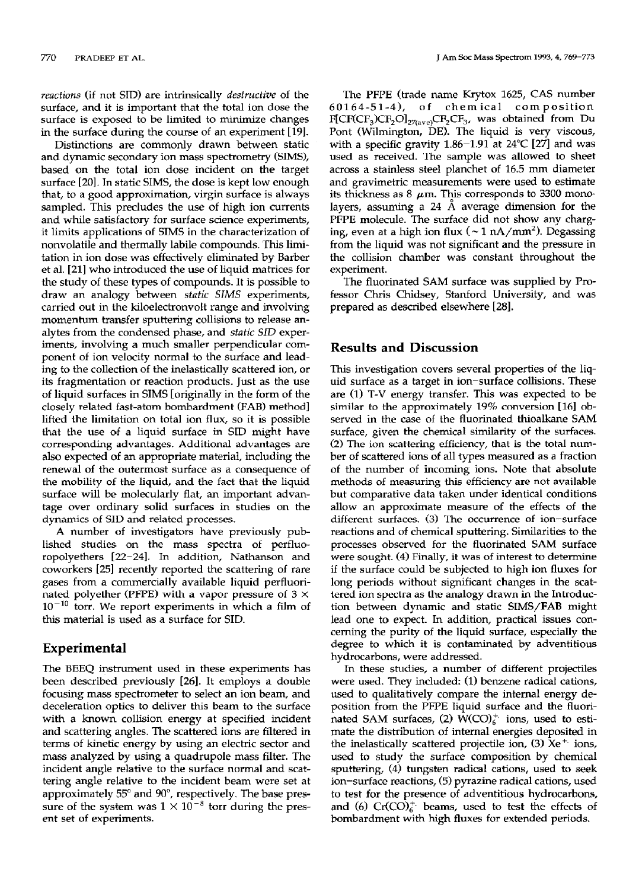*reactions* (if not SID) are intrinsically *destructive* of the surface, and it is important that the total ion dose the surface is exposed to be limited to minimize changes in the surface during the course of an experiment [19].

Distinctions are commonly drawn between static and dynamic secondary ion mass spectrometry (SIMS), based on the total ion dose incident on the target surface [20]. In static SIMS, the dose is kept low enough that, to a good approximation, virgin surface is always sampled. This precludes the use of high ion currents and while satisfactory for surface science experiments, it limits applications of SIMS in the characterization of nonvolatile and thermally labile compounds. This limitation in ion dose was effectively eliminated by Barber et al. [21] who introduced the use of liquid matrices for the study of these types of compounds. It is possible to draw an analogy between *static SIMS* experiments, carried out in the kiloelectronvolt range and involving momentum transfer sputtering collisions to release analytes from the condensed phase, and *static SID* experiments, involving a much smaller perpendicular component of ion velocity normal to the surface and leading to the collection of the inelastically scattered ion, or its fragmentation or reaction products. Just as the use of liquid surfaces in SIMS [originally in the form of the closely related fast-atom bombardment (FAB) method] lifted the limitation on total ion flux, so it is possible that the use of a liquid surface in SID might have corresponding advantages. Additional advantages are also expected of an appropriate material, including the renewal of the outermost surface as a consequence of the mobility of the liquid, and the fact that the liquid surface will be molecularly flat, an important advantage over ordinary solid surfaces in studies on the dynamics of SID and related processes.

A number of investigators have previously published studies on the mass spectra of perfluoropolyethers [22-24]. In addition, Nathanson and coworkers [25] recently reported the scattering of rare gases from a commercially available liquid perfluorinated polyether (PFPE) with a vapor pressure of  $3 \times$  $10^{-10}$  torr. We report experiments in which a film of this material is used as a surface for SID.

### **Experimental**

The BEEQ instrument used in these experiments has been described previously [26]. It employs a double focusing mass spectrometer to select an ion beam, and deceleration optics to deliver this beam to the surface with a known collision energy at specified incident and scattering angles. The scattered ions are filtered in terms of kinetic energy by using an electric sector and mass analyzed by using a quadrupole mass filter. The incident angle relative to the surface normal and scattering angle relative to the incident beam were set at approximately 55° and 90°, respectively. The base pressure of the system was  $1 \times 10^{-8}$  torr during the present set of experiments.

The PFPE (trade name Krytox 1625, CAS number  $60164-51-4$ , of chemical composition  $F[CF(CF<sub>3</sub>)CF<sub>2</sub>O]<sub>27</sub>(ave)CF<sub>2</sub>CF<sub>3</sub>$ , was obtained from Du Pont (Wilmington, DE). The liquid is very viscous, with a specific gravity  $1.86-1.91$  at  $24^{\circ}$ C [27] and was used as received. The sample was allowed to sheet across a stainless steel planchet of 16.5 mm diameter and gravimetric measurements were used to estimate its thickness as 8  $\mu$ m. This corresponds to 3300 monolayers, assuming a 24 A average dimension for the PFPE molecule. The surface did not show any charging, even at a high ion flux ( $\sim$  1 nA/mm<sup>2</sup>). Degassing from the liquid was not significant and the pressure in the collision chamber was constant throughout the experiment.

The fluorinated SAM surface was supplied by Professor Chris Chidsey, Stanford University, and was prepared as described elsewhere [28].

## **Results and** Discussion

This investigation covers several properties of the liquid surface as a target in ion-surface collisions. These are (1) T-V energy transfer. This was expected to be similar to the approximately 19% conversion [16] observed in the case of the fluorinated thioalkane SAM surface, given the chemical similarity of the surfaces. (2) The ion scattering efficiency, that is the total number of scattered ions of all types measured as a fraction of the number of incoming ions. Note that absolute methods of measuring this efficiency are not available but comparative data taken under identical conditions allow an approximate measure of the effects of the different surfaces. (3) The occurrence of ion-surface reactions and of chemical sputtering. Similarities to the processes observed for the fluorinated SAM surface were sought. (4) Finally, it was of interest to determine if the surface could be subjected to high ion fluxes for long periods without significant changes in the scattered ion spectra as the analogy drawn in the Introduction between dynamic and static SIMS/FAB might lead one to expect. In addition, practical issues concerning the purity of the liquid surface, especially the degree to which it is contaminated by adventitious hydrocarbons, were addressed.

In these studies, a number of different projectiles were used. They included: (1) benzene radical cations, used to qualitatively compare the internal energy deposition from the PFPE liquid surface and the fluorinated SAM surfaces, (2)  $W(CO)_6^+$  ions, used to estimate the distribution of internal energies deposited in the inelastically scattered projectile ion,  $(3)$  Xe<sup>+</sup>: ions, used to study the surface composition by chemical sputtering, (4) tungsten radical cations, used to seek ion-surface reactions, (5) pyrazine radical cations, used to test for the presence of adventitious hydrocarbons, and (6)  $Cr(CO)<sub>6</sub>$  beams, used to test the effects of bombardment with high fluxes for extended periods.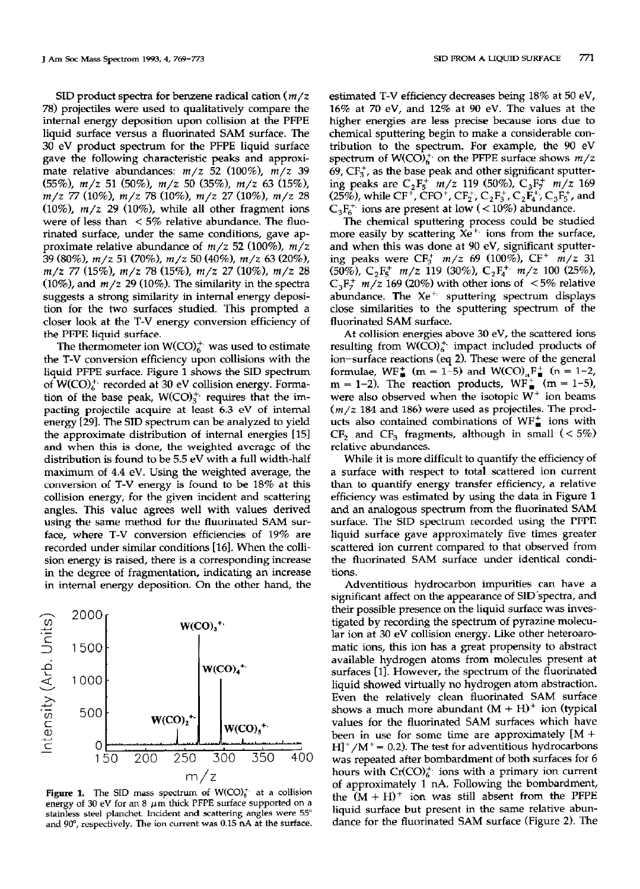SID product spectra for benzene radical cation *(m/z* 78) projectiles were used to qualitatively compare the internal energy deposition upon collision at the PFPE liquid surface versus a fluorinated SAM surface. The 30 eV product spectrum for the PFPE liquid surface gave the following characteristic peaks and approximate relative abundances: *m rz* 52 (100%), *m/z 39* (55%), *m/z* 51 (50%), *m/z* 50 (35%), *m/z* 63 (15%), *m rz* 77 (10%), *m/z* 78 (10%), *mjz* 27 (10%), *m/z* <sup>28</sup>  $(10\%)$ ,  $m/z$  29  $(10\%)$ , while all other fragment ions were of less than  $\leq 5\%$  relative abundance. The fluorinated surface, under the same conditions, gave approximate relative abundance of  $m/z$  52 (100%),  $m/z$ 39 (80%), *mjz* 51 (70%), *mr z* 50 (40%), *mjz* 63 (20%), *m/z* 77 (15%), *mjz* 78 (15%), *mjz* 27 (10%), *m/z 28*  $(10\%)$ , and  $m/z$  29 (10%). The similarity in the spectra suggests a strong similarity in internal energy deposition for the two surfaces studied. This prompted a closer look at the T-V energy conversion efficiency of the PFPE liquid surface.

The thermometer ion  $W(CO)<sub>6</sub><sup>+</sup>$  was used to estimate the T-V conversion efficiency upon collisions with the liquid PFPE surface. Figure 1 shows the SID spectrum of  $W(CO)<sub>6</sub>$  recorded at 30 eV collision energy. Formation of the base peak,  $W(CO)<sub>3</sub><sup>+</sup>$  requires that the impacting projectile acquire at least 6.3 eV of internal energy [29]. The SID spectrum can be analyzed to yield the approximate distribution of internal energies [15] and when this is done, the weighted average of the distribution is found to be 5.5 eV with a full width-half maximum of 4.4 eV. Using the weighted average, the conversion of T-V energy is found to be 18% at this collision energy, for the given incident and scattering angles. This value agrees well with values derived using the same method for the fluorinated SAM surface, where T-V conversion efficiencies of 19% are recorded under similar conditions [16]. When the collision energy is raised, there is a corresponding increase in the degree of fragmentation, indicating an increase in internal energy deposition. On the other hand, the



Figure 1. The SID mass spectrum of  $W(CO)_6^+$  at a collision energy of 30 eV for an 8  $\mu$ m thick PFPE surface supported on a stainless steel planchet. incident and scattering angles were 55° and 90°, respectively. The ion current was 0.15 nA at the surface.

estimated T-V efficiency decreases being 18% at 50 eV, 16% at 70 eV, and 12% at 90 eV. The values at the higher energies are less precise because ions due to chemical sputtering begin to make a considerable contribution to the spectrum. For example, the 90 eV spectrum of  $W(CO)<sub>6</sub><sup>+</sup>$  on the PFPE surface shows  $m/z$ 69,  $CF_3^+$ , as the base peak and other significant sputtering peaks are C<sub>2</sub>F<sub>5</sub><sup>+</sup> *m/z* 119 (50%), C<sub>3</sub>F<sub>7</sub><sup>+</sup> *m/z* 169 (25%), while CF<sup>+</sup>, CFO<sup>+</sup>, CF<sub>2</sub><sup>+</sup>, C<sub>2</sub>F<sub>3</sub><sup>+</sup>, C<sub>2</sub>F<sub>4</sub><sup>+</sup>, C<sub>3</sub>F<sub>5</sub><sup>+</sup>, and  $C_3F_6^+$  ions are present at low ( $\lt 10\%$ ) abundance.

The chemical sputtering process could be studied more easily by scattering  $Xe^{+}$  ions from the surface, and when this was done at 90 eV, significant sputtering peaks were  $CF_3^+$   $m/z$  69 (100%),  $CF^+$   $m/z$  31  $(50\%)$ ,  $C_2F_5^+$  *m/z* 119 (30%),  $C_2F_4^+$  *m/z* 100 (25%),  $C_3F_7^+$  *m/z* 169 (20%) with other ions of  $\lt$  5% relative abundance. The  $Xe^+$  sputtering spectrum displays close similarities to the sputtering spectrum of the fluorinated SAM surface.

At collision energies above 30 eV, the scattered ions resulting from  $W(CO)_6^+$  impact included products of ion-surface reactions (eq 2). These were of the general formulae,  $WF_{\blacksquare}^+$  (m = 1-5) and  $W(CO)_{n}F_{\blacksquare}^+$  (n = 1-2,  $m = 1-2$ ). The reaction products, WF $_{\blacksquare}^+$  (m = 1-5), were also observed when the isotopic  $W^+$  ion beams *(m/z* 184 and 186) were used as projectiles. The products also contained combinations of  $WF_{\blacksquare}^+$  ions with  $CF<sub>2</sub>$  and  $CF<sub>3</sub>$  fragments, although in small (< 5%) relative abundances.

While it is more difficult to quantify the efficiency of a surface with respect to total scattered ion current than to quantify energy transfer efficiency, a relative efficiency was estimated by using the data in Figure 1 and an analogous spectrum from the fluorinated SAM surface. The SID spectrum recorded using the PFPE liquid surface gave approximately five times greater scattered ion current compared to that observed from the fluorinated SAM surface under identical conditions.

Adventitious hydrocarbon impurities can have a significant affect on the appearance of SID'spectra, and their possible presence on the liquid surface was investigated by recording the spectrum of pyrazine molecular ion at 30 eV collision energy. Like other heteroaromatic ions, this ion has a great propensity to abstract available hydrogen atoms from molecules present at surfaces [1]. However, the spectrum of the fluorinated liquid showed virtually no hydrogen atom abstraction. Even the relatively clean fluorinated SAM surface shows a much more abundant  $(M + H)^+$  ion (typical values for the fluorinated SAM surfaces which have been in use for some time are approximately [M +  $H$ <sup>+</sup>/M<sup>+</sup> = 0.2). The test for adventitious hydrocarbons was repeated after bombardment of both surfaces for 6 hours with  $Cr(CO)<sub>6</sub><sup>+</sup>$  ions with a primary ion current of approximately 1 nA. Following the bombardment, the  $(M + H)^+$  ion was still absent from the PFPE liquid surface but present in the same relative abundance for the fluorinated SAM surface (Figure 2). The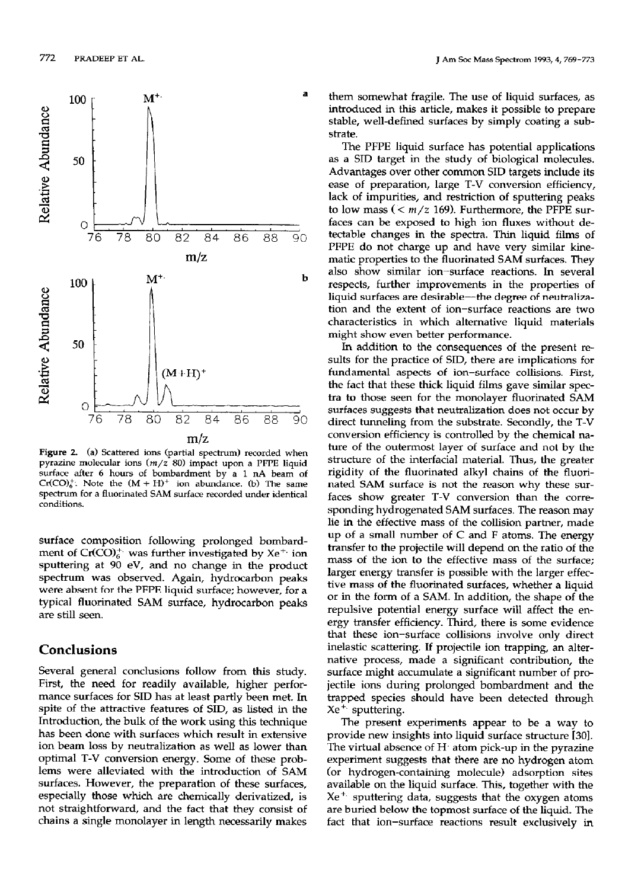

Figure 2. (a) Scattered ions (partial spectrum) recorded when pyrazine molecular ions *(m/z* 80) impact upon a PFPE liquid surface after 6 hours of bombardment by a 1 nA beam of  $Cr(CO)<sub>6</sub><sup>+</sup>$ . Note the  $(M + H)<sup>+</sup>$  ion abundance. (b) The same spectrum for a fluorinated SAM surface recorded under identical conditions.

surface composition following prolonged bombardment of  $Cr(CO)<sub>6</sub><sup>+</sup>$  was further investigated by Xe<sup>+.</sup> ion sputtering at 90 eV, and no change in the product spectrum was observed. Again, hydrocarbon peaks were absent for the PFPE liquid surface; however, for a typical fluorinated SAM surface, hydrocarbon peaks are still seen.

# **Conclusions**

Several general conclusions follow from this study. First, the need for readily available, higher performance surfaces for SID has at least partly been met. In spite of the attractive features of SID, as listed in the Introduction, the bulk of the work using this technique has been done with surfaces which result in extensive ion beam loss by neutralization as well as lower than optimal T-V conversion energy. Some of these problems were alleviated with the introduction of SAM surfaces. However, the preparation of these surfaces, especially those which are chemically derivatized, is not straightforward, and the fact that they consist of chains a single monolayer in length necessarily makes

them somewhat fragile. The use of liquid surfaces, as introduced in this article, makes it possible to prepare stable, well-defined surfaces by simply coating a substrate.

The PFPE liquid surface has potential applications as a SID target in the study of biological molecules. Advantages over other common SID targets include its ease of preparation, large T-V conversion efficiency, lack of impurities, and restriction of sputtering peaks to low mass  $( $m/z$  169)$ . Furthermore, the PFPE surfaces can be exposed to high ion fluxes without detectable changes in the spectra. Thin liquid films of PFPE do not charge up and have very similar kinematic properties to the fluorinated SAM surfaces. They also show similar ion-surface reactions. In several respects, further improvements in the properties of liquid surfaces are desirable-the degree of neutralization and the extent of ion-surface reactions are two characteristics in which alternative liquid materials might show even better performance.

In addition to the consequences of the present results for the practice of SID, there are implications for fundamental aspects of ion-surface collisions. First, the fact that these thick liquid films gave similar spectra to those seen for the monolayer fluorinated SAM surfaces suggests that neutralization does not occur by direct tunneling from the substrate. Secondly, the T-V conversion efficiency is controlled by the chemical nature of the outermost layer of surface and not by the structure of the interfacial material. Thus, the greater rigidity of the fluorinated alkyl chains of the fluorinated SAM surface is not the reason why these surfaces show greater T-V conversion than the corresponding hydrogenated SAM surfaces. The reason may lie in the effective mass of the collision partner, made up of a small number of C and F atoms. The energy transfer to the projectile will depend on the ratio of the mass of the ion to the effective mass of the surface; larger energy transfer is possible with the larger effective mass of the fluorinated surfaces, whether a liquid or in the form of a SAM. In addition, the shape of the repulsive potential energy surface will affect the energy transfer efficiency. Third, there is some evidence that these ion-surface collisions involve only direct inelastic scattering. If projectile ion trapping, an alternative process, made a significant contribution, the surface might accumulate a significant number of projectile ions during prolonged bombardment and the trapped species should have been detected through  $Xe<sup>+</sup>$  sputtering.

The present experiments appear to be a way to provide new insights into liquid surface structure [30]. The virtual absence of H' atom pick-up in the pyrazine experiment suggests that there are no hydrogen atom (or hydrogen-containing molecule) adsorption sites available on the liquid surface. This, together with the  $Xe^{+}$  sputtering data, suggests that the oxygen atoms are buried below the topmost surface of the liquid. The fact that ion-surface reactions result exclusively in